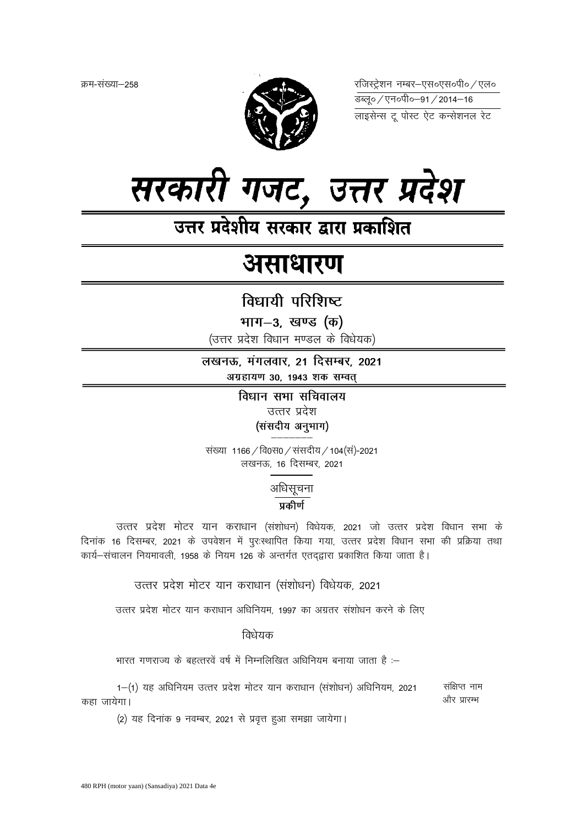क्रम-संख्या–258



रजिस्ट्रेशन नम्बर-एस०एस०पी० / एल० 

लाइसेन्स टू पोस्ट ऐट कन्सेशनल रेट



उत्तर प्रदेशीय सरकार द्वारा प्रकाशित

# असाधारण

# विधायी परिशिष्ट

भाग-3, खण्ड (क)

(उत्तर प्रदेश विधान मण्डल के विधेयक)

लखनऊ, मंगलवार, 21 दिसम्बर, 2021 अग्रहायण 30, 1943 शक सम्वत्

> विधान सभा सचिवालय उत्तर प्रदेश (संसदीय अनुभाग)

संख्या 1166 / वि0स0 / संसदीय / 104 (स)-2021 लखनऊ, 16 दिसम्बर, 2021

अधिसूचना

प्रकीर्ण

उत्तर प्रदेश मोटर यान कराधान (संशोधन) विधेयक, 2021 जो उत्तर प्रदेश विधान सभा के दिनांक 16 दिसम्बर, 2021 के उपवेशन में पुरःस्थापित किया गया, उत्तर प्रदेश विधान सभा की प्रक्रिया तथा कार्य–संचालन नियमावली, 1958 के नियम 126 के अन्तर्गत एतदद्वारा प्रकाशित किया जाता है।

उत्तर प्रदेश मोटर यान कराधान (संशोधन) विधेयक, 2021

उत्तर प्रदेश मोटर यान कराधान अधिनियम, 1997 का अग्रतर संशोधन करने के लिए

## विधेयक

भारत गणराज्य के बहत्तरवें वर्ष में निम्नलिखित अधिनियम बनाया जाता है :–

1–(1) यह अधिनियम उत्तर प्रदेश मोटर यान कराधान (संशोधन) अधिनियम, 2021 संक्षिप्त नाम और प्रारम्भ कहा जायेगा।

(2) यह दिनांक 9 नवम्बर, 2021 से प्रवृत्त हुआ समझा जायेगा।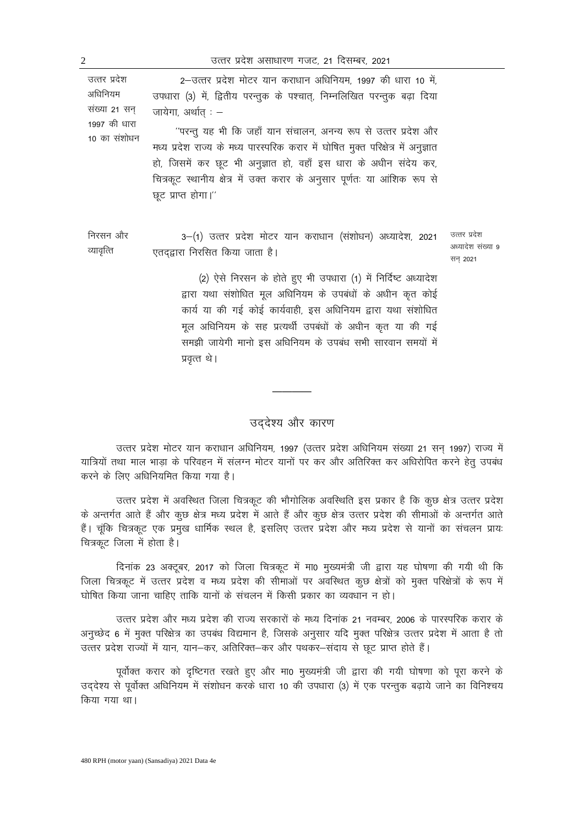| उत्तर प्रदेश<br>अधिनियम<br>संख्या 21 सन्<br>1997 की धारा<br>10 का संशोधन | 2–उत्तर प्रदेश मोटर यान कराधान अधिनियम, 1997 की धारा 10 में,<br>उपधारा (3) में, द्वितीय परन्तुक के पश्चात्, निम्नलिखित परन्तुक बढ़ा दिया<br>जायेगा, अर्थात : –<br>''परन्तु यह भी कि जहाँ यान संचालन, अनन्य रूप से उत्तर प्रदेश और<br>मध्य प्रदेश राज्य के मध्य पारस्परिक करार में घोषित मुक्त परिक्षेत्र में अनुज्ञात<br>हो, जिसमें कर छूट भी अनुज्ञात हो, वहाँ इस धारा के अधीन संदेय कर,<br>चित्रकूट स्थानीय क्षेत्र में उक्त करार के अनुसार पूर्णतः या आंशिक रूप से<br>छूट प्राप्त होगा।'' |                                               |
|--------------------------------------------------------------------------|----------------------------------------------------------------------------------------------------------------------------------------------------------------------------------------------------------------------------------------------------------------------------------------------------------------------------------------------------------------------------------------------------------------------------------------------------------------------------------------------|-----------------------------------------------|
| निरसन और<br>व्यावृत्ति                                                   | 3–(1) उत्तर प्रदेश मोटर यान कराधान (संशोधन) अध्यादेश, 2021<br>एतदद्वारा निरसित किया जाता है।<br>(2) ऐसे निरसन के होते हुए भी उपधारा (1) में निर्दिष्ट अध्यादेश<br>$\frac{1}{2}$ and $\frac{1}{2}$ and $\frac{1}{2}$ and $\frac{1}{2}$ and $\frac{1}{2}$ and $\frac{1}{2}$ and $\frac{1}{2}$                                                                                                                                                                                                  | उत्तर प्रदेश<br>अध्यादेश संख्या ९<br>सन् 2021 |

द्वारा यथा संशोधित मूल अधिनियम के उपबंधों के अधीन कृत कोई कार्य या की गई कोई कार्यवाही, इस अधिनियम द्वारा यथा संशोधित मूल अधिनियम के सह प्रत्यर्थी उपबंधों के अधीन कृत या की गई समझी जायेगी मानो इस अधिनियम के उपबंध सभी सारवान समयों में प्रवृत्त थे।

### उददेश्य और कारण

उत्तर प्रदेश मोटर यान कराधान अधिनियम, 1997 (उत्तर प्रदेश अधिनियम संख्या 21 सन् 1997) राज्य में यात्रियों तथा माल भाड़ा के परिवहन में संलग्न मोटर यानों पर कर और अतिरिक्त कर अधिरोपित करने हेत् उपबंध करने के लिए अधिनियमित किया गया है।

उत्तर प्रदेश में अवस्थित जिला चित्रकूट की भौगोलिक अवस्थिति इस प्रकार है कि कुछ क्षेत्र उत्तर प्रदेश के अन्तर्गत आते हैं और कुछ क्षेत्र मध्य प्रदेश में आते हैं और कुछ क्षेत्र उत्तर प्रदेश की सीमाओं के अन्तर्गत आते हैं। चूंकि चित्रकूट एक प्रमुख धार्मिक स्थल है, इसलिए उत्तर प्रदेश और मध्य प्रदेश से यानों का संचलन प्रायः चित्रकुट जिला में होता है।

दिनांक 23 अक्टूबर, 2017 को जिला चित्रकूट में मा0 मुख्यमंत्री जी द्वारा यह घोषणा की गयी थी कि जिला चित्रकूट में उत्तर प्रदेश व मध्य प्रदेश की सीमाओं पर अवस्थित कुछ क्षेत्रों को मुक्त परिक्षेत्रों के रूप मे घोषित किया जाना चाहिए ताकि यानों के संचलन में किसी प्रकार का व्यवधान न हो।

उत्तर प्रदेश और मध्य प्रदेश की राज्य सरकारों के मध्य दिनांक 21 नवम्बर, 2006 के पारस्परिक करार के अनुच्छेद 6 में मुक्त परिक्षेत्र का उपबंध विद्यमान है, जिसके अनुसार यदि मुक्त परिक्षेत्र उत्तर प्रदेश में आता है तो उत्तर प्रदेश राज्यों में यान, यान–कर, अतिरिक्त–कर और पथकर–संदाय से छूट प्राप्त होते हैं।

पूर्वोक्त करार को दृष्टिगत रखते हुए और मा0 मुख्यमंत्री जी द्वारा की गयी घोषणा को पूरा करने के उद्देश्य से पूर्वोक्त अधिनियम में संशोधन करके धारा 10 की उपधारा (3) में एक परन्तुक बढ़ाये जाने का विनिश्चय किया गया था।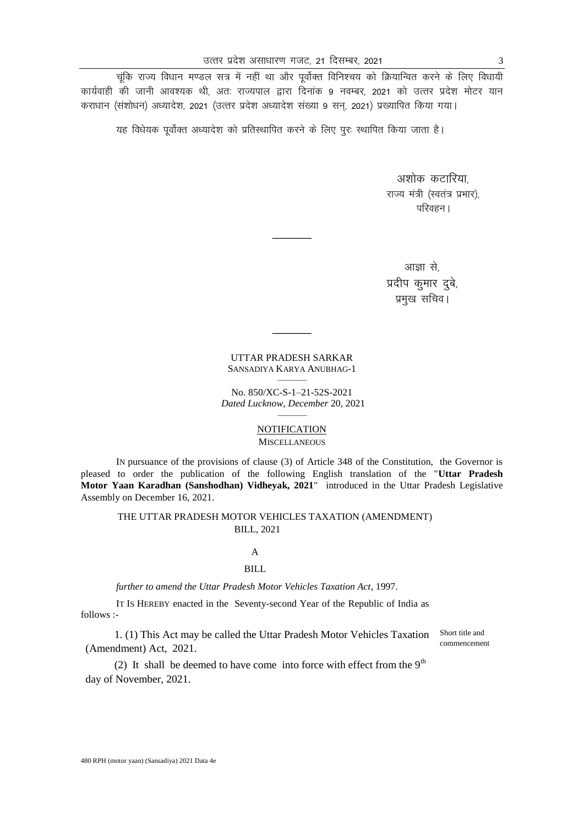चूंकि राज्य विधान मण्डल सत्र में नहीं था और पूर्वोक्त विनिश्चय को क्रियान्वित करने के लिए विधायी कार्यवाही की जानी आवश्यक थी, अतः राज्यपाल द्वारा दिनांक 9 नवम्बर, 2021 को उत्तर प्रदेश मोटर यान कराधान (संशोधन) अध्यादेश, 2021 (उत्तर प्रदेश अध्यादेश संख्या 9 सन, 2021) प्रख्यापित किया गया।

यह विधेयक पूर्वोक्त अध्यादेश को प्रतिस्थापित करने के लिए पुरः स्थापित किया जाता है।

अशोक कटारिया राज्य मंत्री (स्वतंत्र प्रभार), परिवहन ।

आज़ा से प्रदीप कुमार दुबे, प्रमुख सचिव।

#### UTTAR PRADESH SARKAR SANSADIYA KARYA ANUBHAG-1 ———

————

————

No. 850/XC-S-1–21-52S-2021 *Dated Lucknow, December* 20, 2021 ———

#### **NOTIFICATION** MISCELLANEOUS

IN pursuance of the provisions of clause (3) of Article 348 of the Constitution, the Governor is pleased to order the publication of the following English translation of the "**Uttar Pradesh Motor Yaan Karadhan (Sanshodhan) Vidheyak, 2021**" introduced in the Uttar Pradesh Legislative Assembly on December 16, 2021.

#### THE UTTAR PRADESH MOTOR VEHICLES TAXATION (AMENDMENT) BILL, 2021

#### A

#### BILL

*further to amend the Uttar Pradesh Motor Vehicles Taxation Act*, 1997.

IT IS HEREBY enacted in the Seventy-second Year of the Republic of India as follows :-

1. (1) This Act may be called the Uttar Pradesh Motor Vehicles Taxation (Amendment) Act, 2021.

Short title and commencement

(2) It shall be deemed to have come into force with effect from the  $9<sup>th</sup>$ day of November, 2021.